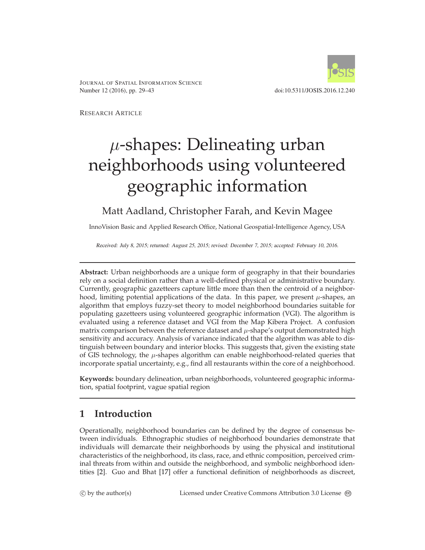

JOURNAL OF SPATIAL INFORMATION SCIENCE Number 12 (2016), pp. 29–43 doi:10.5311/JOSIS.2016.12.240

RESEARCH ARTICLE

# $\mu$ -shapes: Delineating urban neighborhoods using volunteered geographic information

## Matt Aadland, Christopher Farah, and Kevin Magee

InnoVision Basic and Applied Research Office, National Geospatial-Intelligence Agency, USA

Received: July 8, 2015; returned: August 25, 2015; revised: December 7, 2015; accepted: February 10, 2016.

**Abstract:** Urban neighborhoods are a unique form of geography in that their boundaries rely on a social definition rather than a well-defined physical or administrative boundary. Currently, geographic gazetteers capture little more than then the centroid of a neighborhood, limiting potential applications of the data. In this paper, we present  $\mu$ -shapes, an algorithm that employs fuzzy-set theory to model neighborhood boundaries suitable for populating gazetteers using volunteered geographic information (VGI). The algorithm is evaluated using a reference dataset and VGI from the Map Kibera Project. A confusion matrix comparison between the reference dataset and  $\mu$ -shape's output demonstrated high sensitivity and accuracy. Analysis of variance indicated that the algorithm was able to distinguish between boundary and interior blocks. This suggests that, given the existing state of GIS technology, the  $\mu$ -shapes algorithm can enable neighborhood-related queries that incorporate spatial uncertainty, e.g., find all restaurants within the core of a neighborhood.

**Keywords:** boundary delineation, urban neighborhoods, volunteered geographic information, spatial footprint, vague spatial region

# **1 Introduction**

Operationally, neighborhood boundaries can be defined by the degree of consensus between individuals. Ethnographic studies of neighborhood boundaries demonstrate that individuals will demarcate their neighborhoods by using the physical and institutional characteristics of the neighborhood, its class, race, and ethnic composition, perceived criminal threats from within and outside the neighborhood, and symbolic neighborhood identities [\[2\]](#page-11-0). Guo and Bhat [\[17\]](#page-13-0) offer a functional definition of neighborhoods as discreet,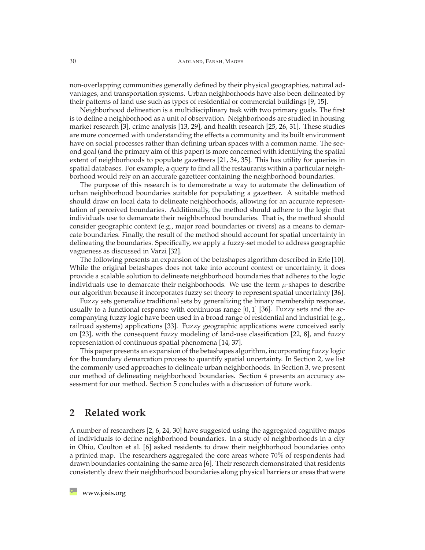non-overlapping communities generally defined by their physical geographies, natural advantages, and transportation systems. Urban neighborhoods have also been delineated by their patterns of land use such as types of residential or commercial buildings [\[9,](#page-12-0) [15\]](#page-13-1).

Neighborhood delineation is a multidisciplinary task with two primary goals. The first is to define a neighborhood as a unit of observation. Neighborhoods are studied in housing market research [\[3\]](#page-11-1), crime analysis [\[13,](#page-12-1) [29\]](#page-14-0), and health research [\[25,](#page-13-2) [26,](#page-13-3) [31\]](#page-14-1). These studies are more concerned with understanding the effects a community and its built environment have on social processes rather than defining urban spaces with a common name. The second goal (and the primary aim of this paper) is more concerned with identifying the spatial extent of neighborhoods to populate gazetteers [\[21,](#page-13-4) [34,](#page-14-2) [35\]](#page-14-3). This has utility for queries in spatial databases. For example, a query to find all the restaurants within a particular neighborhood would rely on an accurate gazetteer containing the neighborhood boundaries.

The purpose of this research is to demonstrate a way to automate the delineation of urban neighborhood boundaries suitable for populating a gazetteer. A suitable method should draw on local data to delineate neighborhoods, allowing for an accurate representation of perceived boundaries. Additionally, the method should adhere to the logic that individuals use to demarcate their neighborhood boundaries. That is, the method should consider geographic context (e.g., major road boundaries or rivers) as a means to demarcate boundaries. Finally, the result of the method should account for spatial uncertainty in delineating the boundaries. Specifically, we apply a fuzzy-set model to address geographic vagueness as discussed in Varzi [\[32\]](#page-14-4).

The following presents an expansion of the betashapes algorithm described in Erle [\[10\]](#page-12-2). While the original betashapes does not take into account context or uncertainty, it does provide a scalable solution to delineate neighborhood boundaries that adheres to the logic individuals use to demarcate their neighborhoods. We use the term  $\mu$ -shapes to describe our algorithm because it incorporates fuzzy set theory to represent spatial uncertainty [\[36\]](#page-14-5).

Fuzzy sets generalize traditional sets by generalizing the binary membership response, usually to a functional response with continuous range  $[0, 1]$  [\[36\]](#page-14-5). Fuzzy sets and the accompanying fuzzy logic have been used in a broad range of residential and industrial (e.g., railroad systems) applications [\[33\]](#page-14-6). Fuzzy geographic applications were conceived early on [\[23\]](#page-13-5), with the consequent fuzzy modeling of land-use classification [\[22,](#page-13-6) [8\]](#page-12-3), and fuzzy representation of continuous spatial phenomena [\[14,](#page-13-7) [37\]](#page-14-7).

This paper presents an expansion of the betashapes algorithm, incorporating fuzzy logic for the boundary demarcation process to quantify spatial uncertainty. In Section [2,](#page-1-0) we list the commonly used approaches to delineate urban neighborhoods. In Section [3,](#page-3-0) we present our method of delineating neighborhood boundaries. Section [4](#page-5-0) presents an accuracy assessment for our method. Section [5](#page-8-0) concludes with a discussion of future work.

#### <span id="page-1-0"></span>**2 Related work**

A number of researchers [\[2,](#page-11-0) [6,](#page-12-4) [24,](#page-13-8) [30\]](#page-14-8) have suggested using the aggregated cognitive maps of individuals to define neighborhood boundaries. In a study of neighborhoods in a city in Ohio, Coulton et al. [\[6\]](#page-12-4) asked residents to draw their neighborhood boundaries onto a printed map. The researchers aggregated the core areas where 70% of respondents had drawn boundaries containing the same area [\[6\]](#page-12-4). Their research demonstrated that residents consistently drew their neighborhood boundaries along physical barriers or areas that were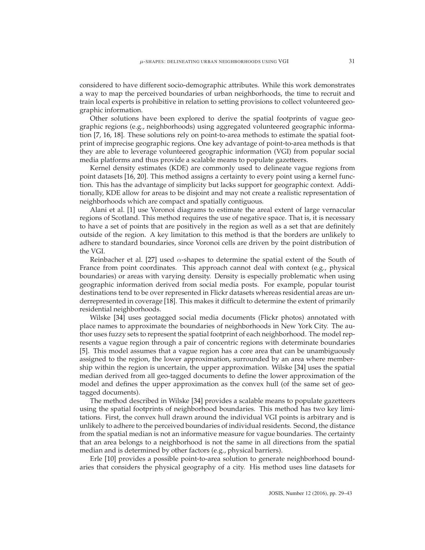considered to have different socio-demographic attributes. While this work demonstrates a way to map the perceived boundaries of urban neighborhoods, the time to recruit and train local experts is prohibitive in relation to setting provisions to collect volunteered geographic information.

Other solutions have been explored to derive the spatial footprints of vague geographic regions (e.g., neighborhoods) using aggregated volunteered geographic information [\[7,](#page-12-5) [16,](#page-13-9) [18\]](#page-13-10). These solutions rely on point-to-area methods to estimate the spatial footprint of imprecise geographic regions. One key advantage of point-to-area methods is that they are able to leverage volunteered geographic information (VGI) from popular social media platforms and thus provide a scalable means to populate gazetteers.

Kernel density estimates (KDE) are commonly used to delineate vague regions from point datasets [\[16,](#page-13-9) [20\]](#page-13-11). This method assigns a certainty to every point using a kernel function. This has the advantage of simplicity but lacks support for geographic context. Additionally, KDE allow for areas to be disjoint and may not create a realistic representation of neighborhoods which are compact and spatially contiguous.

Alani et al. [\[1\]](#page-11-2) use Voronoi diagrams to estimate the areal extent of large vernacular regions of Scotland. This method requires the use of negative space. That is, it is necessary to have a set of points that are positively in the region as well as a set that are definitely outside of the region. A key limitation to this method is that the borders are unlikely to adhere to standard boundaries, since Voronoi cells are driven by the point distribution of the VGI.

Reinbacher et al. [\[27\]](#page-14-9) used  $\alpha$ -shapes to determine the spatial extent of the South of France from point coordinates. This approach cannot deal with context (e.g., physical boundaries) or areas with varying density. Density is especially problematic when using geographic information derived from social media posts. For example, popular tourist destinations tend to be over represented in Flickr datasets whereas residential areas are underrepresented in coverage [\[18\]](#page-13-10). This makes it difficult to determine the extent of primarily residential neighborhoods.

Wilske [\[34\]](#page-14-2) uses geotagged social media documents (Flickr photos) annotated with place names to approximate the boundaries of neighborhoods in New York City. The author uses fuzzy sets to represent the spatial footprint of each neighborhood. The model represents a vague region through a pair of concentric regions with determinate boundaries [\[5\]](#page-11-3). This model assumes that a vague region has a core area that can be unambiguously assigned to the region, the lower approximation, surrounded by an area where membership within the region is uncertain, the upper approximation. Wilske [\[34\]](#page-14-2) uses the spatial median derived from all geo-tagged documents to define the lower approximation of the model and defines the upper approximation as the convex hull (of the same set of geotagged documents).

The method described in Wilske [\[34\]](#page-14-2) provides a scalable means to populate gazetteers using the spatial footprints of neighborhood boundaries. This method has two key limitations. First, the convex hull drawn around the individual VGI points is arbitrary and is unlikely to adhere to the perceived boundaries of individual residents. Second, the distance from the spatial median is not an informative measure for vague boundaries. The certainty that an area belongs to a neighborhood is not the same in all directions from the spatial median and is determined by other factors (e.g., physical barriers).

Erle [\[10\]](#page-12-2) provides a possible point-to-area solution to generate neighborhood boundaries that considers the physical geography of a city. His method uses line datasets for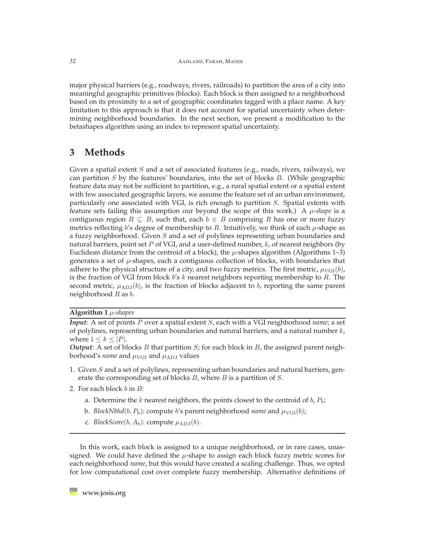major physical barriers (e.g., roadways, rivers, railroads) to partition the area of a city into meaningful geographic primitives (blocks). Each block is then assigned to a neighborhood based on its proximity to a set of geographic coordinates tagged with a place name. A key limitation to this approach is that it does not account for spatial uncertainty when determining neighborhood boundaries. In the next section, we present a modification to the betashapes algorithm using an index to represent spatial uncertainty.

### <span id="page-3-0"></span>**3 Methods**

Given a spatial extent S and a set of associated features (e.g., roads, rivers, railways), we can partition  $S$  by the features' boundaries, into the set of blocks  $B$ . (While geographic feature data may not be sufficient to partition, e.g., a rural spatial extent or a spatial extent with few associated geographic layers, we assume the feature set of an urban environment, particularly one associated with VGI, is rich enough to partition S. Spatial extents with feature sets failing this assumption our beyond the scope of this work.) A  $\mu$ -shape is a contiguous region  $R \subseteq B$ , such that, each  $b \in B$  comprising R has one or more fuzzy metrics reflecting b's degree of membership to R. Intuitively, we think of each  $\mu$ -shape as a fuzzy neighborhood. Given  $S$  and a set of polylines representing urban boundaries and natural barriers, point set  $P$  of VGI, and a user-defined number,  $k$ , of nearest neighbors (by Euclidean distance from the centroid of a block), the  $\mu$ -shapes algorithm (Algorithms 1–3) generates a set of  $\mu$ -shapes, each a contiguous collection of blocks, with boundaries that adhere to the physical structure of a city, and two fuzzy metrics. The first metric,  $\mu_{\text{VGI}}(b)$ , is the fraction of VGI from block  $b's k$  nearest neighbors reporting membership to R. The second metric,  $\mu_{ADJ}(b)$ , is the fraction of blocks adjacent to b, reporting the same parent neighborhood  $R$  as  $b$ .

**Algorithm 1** µ*-shapes*

*Input*: A set of points P over a spatial extent S, each with a VGI neighborhood *name*; a set of polylines, representing urban boundaries and natural barriers; and a natural number  $k$ , where  $1 \leq k \leq |P|$ .

*Output*: A set of blocks *B* that partition *S*; for each block in *B*, the assigned parent neighborhood's *name* and  $\mu_{\text{VGI}}$  and  $\mu_{\text{ADJ}}$  values

- 1. Given S and a set of polylines, representing urban boundaries and natural barriers, generate the corresponding set of blocks  $B$ , where  $B$  is a partition of  $S$ .
- 2. For each block  $b$  in  $B$ :
	- a. Determine the k nearest neighbors, the points closest to the centroid of  $b, P_b$ ;
	- b. *BlockNbhd*( $b, P_b$ ): compute *b's* parent neighborhood *name* and  $\mu_{VGI}(b)$ ;
	- c. *BlockScore*( $b, A_b$ ): compute  $\mu_{\text{ADJ}}(b)$ .

In this work, each block is assigned to a unique neighborhood, or in rare cases, unassigned. We could have defined the  $\mu$ -shape to assign each block fuzzy metric scores for each neighborhood *name*, but this would have created a scaling challenge. Thus, we opted for low computational cost over complete fuzzy membership. Alternative definitions of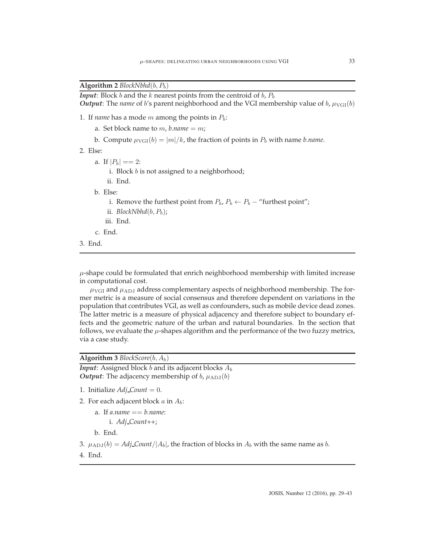#### **Algorithm 2**  $BlockNbhd(b, P_b)$

```
Input: Block b and the k nearest points from the centroid of b, P<sub>b</sub>Output: The name of b's parent neighborhood and the VGI membership value of b, \mu_{VGI}(b)
```
- 1. If *name* has a mode *m* among the points in  $P_b$ :
	- a. Set block name to  $m$ , *b.name* =  $m$ ;
	- b. Compute  $\mu_{VGI}(b) = |m|/k$ , the fraction of points in  $P_b$  with name *b.name*.
- 2. Else:
	- a. If  $|P_b| == 2$ :
		- i. Block  $b$  is not assigned to a neighborhood;
		- ii. End.
	- b. Else:
		- i. Remove the furthest point from  $P_b$ ,  $P_b \leftarrow P_b$  "furthest point";
		- ii. *BlockNbhd* $(b, P_b)$ ;
		- iii. End.
	- c. End.
- 3. End.

 $\mu$ -shape could be formulated that enrich neighborhood membership with limited increase in computational cost.

 $\mu_{\text{VGI}}$  and  $\mu_{\text{ADJ}}$  address complementary aspects of neighborhood membership. The former metric is a measure of social consensus and therefore dependent on variations in the population that contributes VGI, as well as confounders, such as mobile device dead zones. The latter metric is a measure of physical adjacency and therefore subject to boundary effects and the geometric nature of the urban and natural boundaries. In the section that follows, we evaluate the  $\mu$ -shapes algorithm and the performance of the two fuzzy metrics, via a case study.

#### **Algorithm 3** *BlockScore*(b, Ab)

*Input*: Assigned block  $b$  and its adjacent blocks  $A_b$ *Output*: The adjacency membership of  $b$ ,  $\mu_{ADJ}(b)$ 

- 1. Initialize  $Adj\_Count = 0$ .
- 2. For each adjacent block  $a$  in  $A_b$ :
	- a. If *a.name* == *b.name*: i. *Adj Count*++;

b. End.

- 3.  $\mu_{ADJ}(b) = Adj\_Count/|A_b|$ , the fraction of blocks in  $A_b$  with the same name as b.
- 4. End.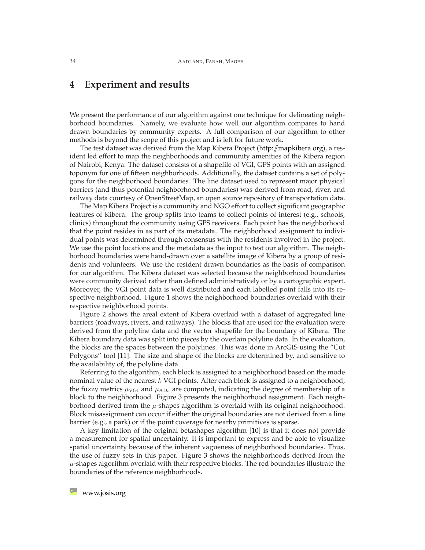## <span id="page-5-0"></span>**4 Experiment and results**

We present the performance of our algorithm against one technique for delineating neighborhood boundaries. Namely, we evaluate how well our algorithm compares to hand drawn boundaries by community experts. A full comparison of our algorithm to other methods is beyond the scope of this project and is left for future work.

The test dataset was derived from the Map Kibera Project ( $http://mapkibera.org$ ), a resident led effort to map the neighborhoods and community amenities of the Kibera region of Nairobi, Kenya. The dataset consists of a shapefile of VGI, GPS points with an assigned toponym for one of fifteen neighborhoods. Additionally, the dataset contains a set of polygons for the neighborhood boundaries. The line dataset used to represent major physical barriers (and thus potential neighborhood boundaries) was derived from road, river, and railway data courtesy of OpenStreetMap, an open source repository of transportation data.

The Map Kibera Project is a community and NGO effort to collect significant geographic features of Kibera. The group splits into teams to collect points of interest (e.g., schools, clinics) throughout the community using GPS receivers. Each point has the neighborhood that the point resides in as part of its metadata. The neighborhood assignment to individual points was determined through consensus with the residents involved in the project. We use the point locations and the metadata as the input to test our algorithm. The neighborhood boundaries were hand-drawn over a satellite image of Kibera by a group of residents and volunteers. We use the resident drawn boundaries as the basis of comparison for our algorithm. The Kibera dataset was selected because the neighborhood boundaries were community derived rather than defined administratively or by a cartographic expert. Moreover, the VGI point data is well distributed and each labelled point falls into its respective neighborhood. Figure [1](#page-6-0) shows the neighborhood boundaries overlaid with their respective neighborhood points.

Figure [2](#page-7-0) shows the areal extent of Kibera overlaid with a dataset of aggregated line barriers (roadways, rivers, and railways). The blocks that are used for the evaluation were derived from the polyline data and the vector shapefile for the boundary of Kibera. The Kibera boundary data was split into pieces by the overlain polyline data. In the evaluation, the blocks are the spaces between the polylines. This was done in ArcGIS using the "Cut Polygons" tool [\[11\]](#page-12-6). The size and shape of the blocks are determined by, and sensitive to the availability of, the polyline data.

Referring to the algorithm, each block is assigned to a neighborhood based on the mode nominal value of the nearest  $k$  VGI points. After each block is assigned to a neighborhood, the fuzzy metrics  $\mu_{\text{VGI}}$  and  $\mu_{\text{ADJ}}$  are computed, indicating the degree of membership of a block to the neighborhood. Figure [3](#page-8-1) presents the neighborhood assignment. Each neighborhood derived from the  $\mu$ -shapes algorithm is overlaid with its original neighborhood. Block misassignment can occur if either the original boundaries are not derived from a line barrier (e.g., a park) or if the point coverage for nearby primitives is sparse.

A key limitation of the original betashapes algorithm [\[10\]](#page-12-2) is that it does not provide a measurement for spatial uncertainty. It is important to express and be able to visualize spatial uncertainty because of the inherent vagueness of neighborhood boundaries. Thus, the use of fuzzy sets in this paper. Figure [3](#page-8-1) shows the neighborhoods derived from the  $\mu$ -shapes algorithm overlaid with their respective blocks. The red boundaries illustrate the boundaries of the reference neighborhoods.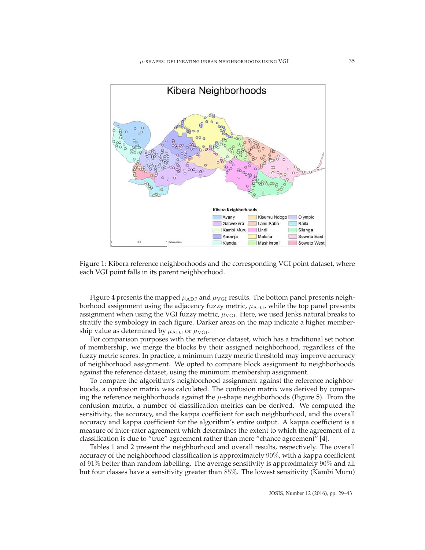

<span id="page-6-0"></span>Figure 1: Kibera reference neighborhoods and the corresponding VGI point dataset, where each VGI point falls in its parent neighborhood.

Figure [4](#page-9-0) presents the mapped  $\mu_{\text{ADJ}}$  and  $\mu_{\text{VGI}}$  results. The bottom panel presents neighborhood assignment using the adjacency fuzzy metric,  $\mu_{ADJ}$ , while the top panel presents assignment when using the VGI fuzzy metric,  $\mu_{\text{VGI}}$ . Here, we used Jenks natural breaks to stratify the symbology in each figure. Darker areas on the map indicate a higher membership value as determined by  $\mu_{\text{ADJ}}$  or  $\mu_{\text{VGI}}$ .

For comparison purposes with the reference dataset, which has a traditional set notion of membership, we merge the blocks by their assigned neighborhood, regardless of the fuzzy metric scores. In practice, a minimum fuzzy metric threshold may improve accuracy of neighborhood assignment. We opted to compare block assignment to neighborhoods against the reference dataset, using the minimum membership assignment.

To compare the algorithm's neighborhood assignment against the reference neighborhoods, a confusion matrix was calculated. The confusion matrix was derived by comparing the reference neighborhoods against the  $\mu$ -shape neighborhoods (Figure [5\)](#page-10-0). From the confusion matrix, a number of classification metrics can be derived. We computed the sensitivity, the accuracy, and the kappa coefficient for each neighborhood, and the overall accuracy and kappa coefficient for the algorithm's entire output. A kappa coefficient is a measure of inter-rater agreement which determines the extent to which the agreement of a classification is due to "true" agreement rather than mere "chance agreement" [\[4\]](#page-11-4).

Tables [1](#page-11-5) and [2](#page-11-6) present the neighborhood and overall results, respectively. The overall accuracy of the neighborhood classification is approximately 90%, with a kappa coefficient of 91% better than random labelling. The average sensitivity is approximately 90% and all but four classes have a sensitivity greater than 85%. The lowest sensitivity (Kambi Muru)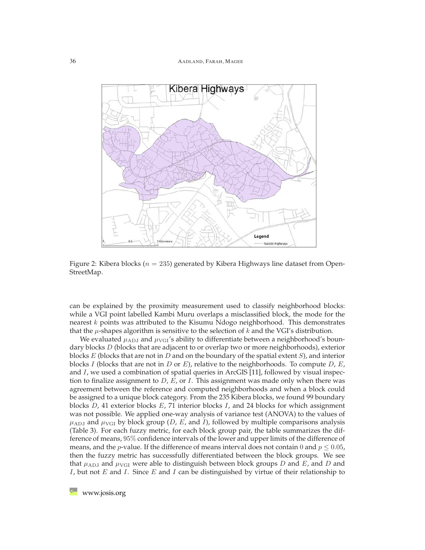

<span id="page-7-0"></span>Figure 2: Kibera blocks ( $n = 235$ ) generated by Kibera Highways line dataset from Open-StreetMap.

can be explained by the proximity measurement used to classify neighborhood blocks: while a VGI point labelled Kambi Muru overlaps a misclassified block, the mode for the nearest k points was attributed to the Kisumu Ndogo neighborhood. This demonstrates that the  $\mu$ -shapes algorithm is sensitive to the selection of k and the VGI's distribution.

We evaluated  $\mu_{\rm ADJ}$  and  $\mu_{\rm VGI}$ 's ability to differentiate between a neighborhood's boundary blocks D (blocks that are adjacent to or overlap two or more neighborhoods), exterior blocks E (blocks that are not in D and on the boundary of the spatial extent  $S$ ), and interior blocks I (blocks that are not in D or E), relative to the neighborhoods. To compute  $D$ , E, and I, we used a combination of spatial queries in ArcGIS [\[11\]](#page-12-6), followed by visual inspection to finalize assignment to  $D$ ,  $E$ , or  $I$ . This assignment was made only when there was agreement between the reference and computed neighborhoods and when a block could be assigned to a unique block category. From the 235 Kibera blocks, we found 99 boundary blocks  $D$ , 41 exterior blocks  $E$ , 71 interior blocks  $I$ , and 24 blocks for which assignment was not possible. We applied one-way analysis of variance test (ANOVA) to the values of  $\mu_{ADJ}$  and  $\mu_{VGI}$  by block group (*D, E,* and *I*), followed by multiple comparisons analysis (Table [3\)](#page-12-7). For each fuzzy metric, for each block group pair, the table summarizes the difference of means, 95% confidence intervals of the lower and upper limits of the difference of means, and the *p*-value. If the difference of means interval does not contain 0 and  $p \le 0.05$ , then the fuzzy metric has successfully differentiated between the block groups. We see that  $\mu_{ADJ}$  and  $\mu_{VGI}$  were able to distinguish between block groups D and E, and D and I, but not E and I. Since E and I can be distinguished by virtue of their relationship to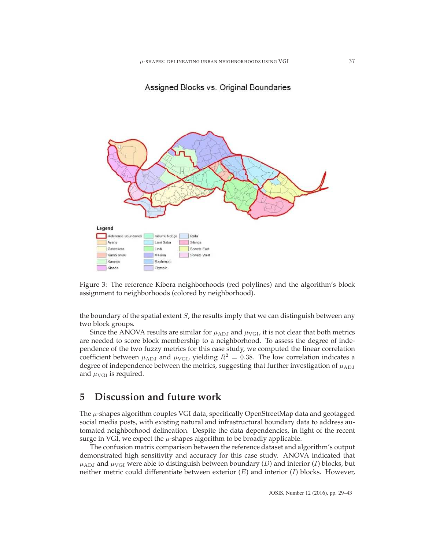#### Assigned Blocks vs. Original Boundaries



<span id="page-8-1"></span>Figure 3: The reference Kibera neighborhoods (red polylines) and the algorithm's block assignment to neighborhoods (colored by neighborhood).

the boundary of the spatial extent  $S$ , the results imply that we can distinguish between any two block groups.

Since the ANOVA results are similar for  $\mu_{\text{ADJ}}$  and  $\mu_{\text{VGI}}$ , it is not clear that both metrics are needed to score block membership to a neighborhood. To assess the degree of independence of the two fuzzy metrics for this case study, we computed the linear correlation coefficient between  $\mu_{\text{ADJ}}$  and  $\mu_{\text{VGL}}$ , yielding  $R^2 = 0.38$ . The low correlation indicates a degree of independence between the metrics, suggesting that further investigation of  $\mu_{\rm ADJ}$ and  $\mu_{\text{VGI}}$  is required.

## <span id="page-8-0"></span>**5 Discussion and future work**

The  $\mu$ -shapes algorithm couples VGI data, specifically OpenStreetMap data and geotagged social media posts, with existing natural and infrastructural boundary data to address automated neighborhood delineation. Despite the data dependencies, in light of the recent surge in VGI, we expect the  $\mu$ -shapes algorithm to be broadly applicable.

The confusion matrix comparison between the reference dataset and algorithm's output demonstrated high sensitivity and accuracy for this case study. ANOVA indicated that  $\mu_{ADJ}$  and  $\mu_{VGI}$  were able to distinguish between boundary (D) and interior (I) blocks, but neither metric could differentiate between exterior  $(E)$  and interior  $(I)$  blocks. However,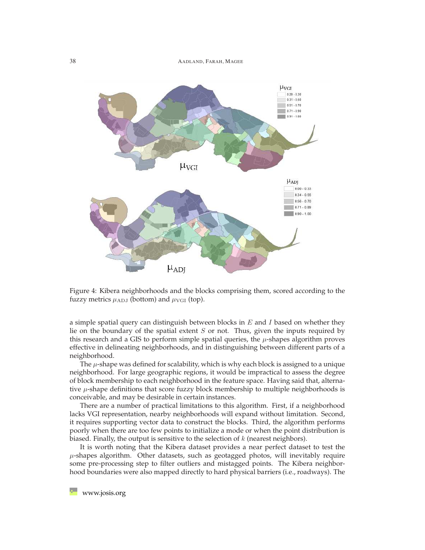38 AADLAND, FARAH, MAGEE



<span id="page-9-0"></span>Figure 4: Kibera neighborhoods and the blocks comprising them, scored according to the fuzzy metrics  $\mu_{\text{ADJ}}$  (bottom) and  $\mu_{\text{VGI}}$  (top).

a simple spatial query can distinguish between blocks in  $E$  and  $I$  based on whether they lie on the boundary of the spatial extent  $S$  or not. Thus, given the inputs required by this research and a GIS to perform simple spatial queries, the  $\mu$ -shapes algorithm proves effective in delineating neighborhoods, and in distinguishing between different parts of a neighborhood.

The  $\mu$ -shape was defined for scalability, which is why each block is assigned to a unique neighborhood. For large geographic regions, it would be impractical to assess the degree of block membership to each neighborhood in the feature space. Having said that, alternative  $\mu$ -shape definitions that score fuzzy block membership to multiple neighborhoods is conceivable, and may be desirable in certain instances.

There are a number of practical limitations to this algorithm. First, if a neighborhood lacks VGI representation, nearby neighborhoods will expand without limitation. Second, it requires supporting vector data to construct the blocks. Third, the algorithm performs poorly when there are too few points to initialize a mode or when the point distribution is biased. Finally, the output is sensitive to the selection of  $k$  (nearest neighbors).

It is worth noting that the Kibera dataset provides a near perfect dataset to test the  $\mu$ -shapes algorithm. Other datasets, such as geotagged photos, will inevitably require some pre-processing step to filter outliers and mistagged points. The Kibera neighborhood boundaries were also mapped directly to hard physical barriers (i.e., roadways). The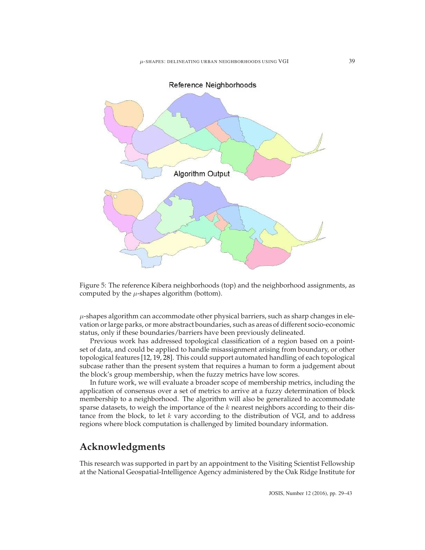

<span id="page-10-0"></span>Figure 5: The reference Kibera neighborhoods (top) and the neighborhood assignments, as computed by the  $\mu$ -shapes algorithm (bottom).

 $\mu$ -shapes algorithm can accommodate other physical barriers, such as sharp changes in elevation or large parks, or more abstract boundaries, such as areas of different socio-economic status, only if these boundaries/barriers have been previously delineated.

Previous work has addressed topological classification of a region based on a pointset of data, and could be applied to handle misassignment arising from boundary, or other topological features [\[12,](#page-12-8) [19,](#page-13-12) [28\]](#page-14-10). This could support automated handling of each topological subcase rather than the present system that requires a human to form a judgement about the block's group membership, when the fuzzy metrics have low scores.

In future work, we will evaluate a broader scope of membership metrics, including the application of consensus over a set of metrics to arrive at a fuzzy determination of block membership to a neighborhood. The algorithm will also be generalized to accommodate sparse datasets, to weigh the importance of the  $k$  nearest neighbors according to their distance from the block, to let  $k$  vary according to the distribution of VGI, and to address regions where block computation is challenged by limited boundary information.

### **Acknowledgments**

This research was supported in part by an appointment to the Visiting Scientist Fellowship at the National Geospatial-Intelligence Agency administered by the Oak Ridge Institute for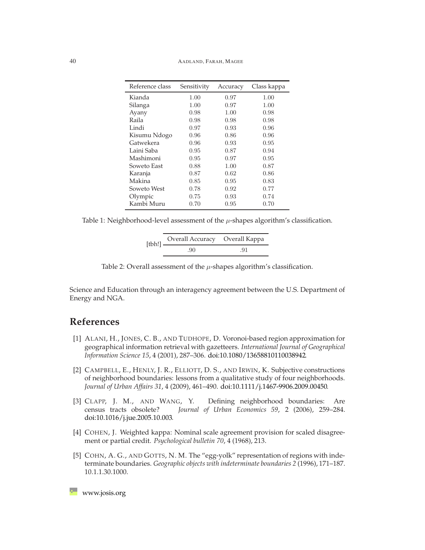| Reference class | Sensitivity | Accuracy | Class kappa |
|-----------------|-------------|----------|-------------|
| Kianda          | 1.00        | 0.97     | 1.00        |
| Silanga         | 1.00        | 0.97     | 1.00        |
| Ayany           | 0.98        | 1.00     | 0.98        |
| Raila           | 0.98        | 0.98     | 0.98        |
| Lindi           | 0.97        | 0.93     | 0.96        |
| Kisumu Ndogo    | 0.96        | 0.86     | 0.96        |
| Gatwekera       | 0.96        | 0.93     | 0.95        |
| Laini Saba      | 0.95        | 0.87     | 0.94        |
| Mashimoni       | 0.95        | 0.97     | 0.95        |
| Soweto East     | 0.88        | 1.00     | 0.87        |
| Karanja         | 0.87        | 0.62     | 0.86        |
| Makina          | 0.85        | 0.95     | 0.83        |
| Soweto West     | 0.78        | 0.92     | 0.77        |
| Olympic         | 0.75        | 0.93     | 0.74        |
| Kambi Muru      | 0.70        | 0.95     | 0.70        |

<span id="page-11-5"></span>Table 1: Neighborhood-level assessment of the  $\mu$ -shapes algorithm's classification.

| $[{\rm tbh!]}\equiv$ | Overall Accuracy Overall Kappa |     |  |
|----------------------|--------------------------------|-----|--|
|                      | .90                            | .91 |  |

<span id="page-11-6"></span>Table 2: Overall assessment of the  $\mu$ -shapes algorithm's classification.

Science and Education through an interagency agreement between the U.S. Department of Energy and NGA.

## <span id="page-11-2"></span>**References**

- [1] ALANI, H., JONES, C. B., AND TUDHOPE, D. Voronoi-based region approximation for geographical information retrieval with gazetteers. *International Journal of Geographical Information Science 15*, 4 (2001), 287–306. [doi:10.1080/13658810110038942.](http://dx.doi.org/10.1080/13658810110038942)
- <span id="page-11-0"></span>[2] CAMPBELL, E., HENLY, J. R., ELLIOTT, D. S., AND IRWIN, K. Subjective constructions of neighborhood boundaries: lessons from a qualitative study of four neighborhoods. *Journal of Urban Affairs 31*, 4 (2009), 461–490. [doi:10.1111/j.1467-9906.2009.00450.](http://dx.doi.org/10.1111/j.1467-9906.2009.00450)
- <span id="page-11-1"></span>[3] CLAPP, J. M., AND WANG, Y. Defining neighborhood boundaries: Are census tracts obsolete? *Journal of Urban Economics 59*, 2 (2006), 259–284. [doi:10.1016/j.jue.2005.10.003.](http://dx.doi.org/10.1016/j.jue.2005.10.003)
- <span id="page-11-4"></span>[4] COHEN, J. Weighted kappa: Nominal scale agreement provision for scaled disagreement or partial credit. *Psychological bulletin 70*, 4 (1968), 213.
- <span id="page-11-3"></span>[5] COHN, A. G., AND GOTTS, N. M. The "egg-yolk" representation of regions with indeterminate boundaries. *Geographic objects with indeterminate boundaries 2* (1996), 171–187. 10.1.1.30.1000.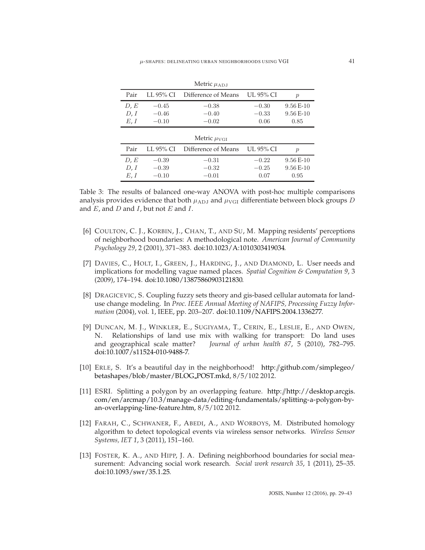| Pair                 | LL 95% CI                     | Difference of Means           | UL 95% CI                  | $\mathcal{p}$                    |
|----------------------|-------------------------------|-------------------------------|----------------------------|----------------------------------|
| D, E<br>D, I<br>E, I | $-0.45$<br>$-0.46$<br>$-0.10$ | $-0.38$<br>$-0.40$<br>$-0.02$ | $-0.30$<br>$-0.33$<br>0.06 | $9.56E-10$<br>$9.56E-10$<br>0.85 |
|                      |                               |                               |                            |                                  |
|                      |                               | Metric $\mu_{VGI}$            |                            |                                  |
| Pair                 | LL 95% CI                     | Difference of Means           | UL 95% CI                  | $\mathcal{p}$                    |

Metric  $\mu_{ADJ}$ 

<span id="page-12-7"></span>Table 3: The results of balanced one-way ANOVA with post-hoc multiple comparisons analysis provides evidence that both  $\mu_{\rm ADJ}$  and  $\mu_{\rm VGI}$  differentiate between block groups D and  $E$ , and  $D$  and  $I$ , but not  $E$  and  $I$ .

- <span id="page-12-4"></span>[6] COULTON, C. J., KORBIN, J., CHAN, T., AND SU, M. Mapping residents' perceptions of neighborhood boundaries: A methodological note. *American Journal of Community Psychology 29*, 2 (2001), 371–383. [doi:10.1023/A:1010303419034.](http://dx.doi.org/10.1023/A:1010303419034)
- <span id="page-12-5"></span>[7] DAVIES, C., HOLT, I., GREEN, J., HARDING, J., AND DIAMOND, L. User needs and implications for modelling vague named places. *Spatial Cognition & Computation 9*, 3 (2009), 174–194. [doi:10.1080/13875860903121830.](http://dx.doi.org/10.1080/13875860903121830)
- <span id="page-12-3"></span>[8] DRAGICEVIC, S. Coupling fuzzy sets theory and gis-based cellular automata for landuse change modeling. In *Proc. IEEE Annual Meeting of NAFIPS, Processing Fuzzy Information* (2004), vol. 1, IEEE, pp. 203–207. [doi:10.1109/NAFIPS.2004.1336277.](http://dx.doi.org/10.1109/NAFIPS.2004.1336277)
- <span id="page-12-0"></span>[9] DUNCAN, M. J., WINKLER, E., SUGIYAMA, T., CERIN, E., LESLIE, E., AND OWEN, N. Relationships of land use mix with walking for transport: Do land uses and geographical scale matter? *Journal of urban health 87*, 5 (2010), 782–795. [doi:10.1007/s11524-010-9488-7.](http://dx.doi.org/10.1007/s11524-010-9488-7)
- <span id="page-12-2"></span>[10] ERLE, S. It's a beautiful day in the neighborhood! http://[github.com/simplegeo/](https://github.com/simplegeo/betashapes/blob/master/BLOG_POST.mkd) [betashapes/blob/master/BLOG](https://github.com/simplegeo/betashapes/blob/master/BLOG_POST.mkd) POST.mkd, 8/5/102 2012.
- <span id="page-12-6"></span>[11] ESRI. Splitting a polygon by an overlapping feature. http://[http://desktop.arcgis.](desktop.arcgis.com/en/arcmap/10.3/manage-data/editing-fundamentals/splitting-a-polygon-by-an-overlapping-line-feature.htm) [com/en/arcmap/10.3/manage-data/editing-fundamentals/splitting-a-polygon-by](desktop.arcgis.com/en/arcmap/10.3/manage-data/editing-fundamentals/splitting-a-polygon-by-an-overlapping-line-feature.htm)[an-overlapping-line-feature.htm,](desktop.arcgis.com/en/arcmap/10.3/manage-data/editing-fundamentals/splitting-a-polygon-by-an-overlapping-line-feature.htm) 8/5/102 2012.
- <span id="page-12-8"></span>[12] FARAH, C., SCHWANER, F., ABEDI, A., AND WORBOYS, M. Distributed homology algorithm to detect topological events via wireless sensor networks. *Wireless Sensor Systems, IET 1*, 3 (2011), 151–160.
- <span id="page-12-1"></span>[13] FOSTER, K. A., AND HIPP, J. A. Defining neighborhood boundaries for social measurement: Advancing social work research. *Social work research 35*, 1 (2011), 25–35. [doi:10.1093/swr/35.1.25.](http://dx.doi.org/10.1093/swr/35.1.25)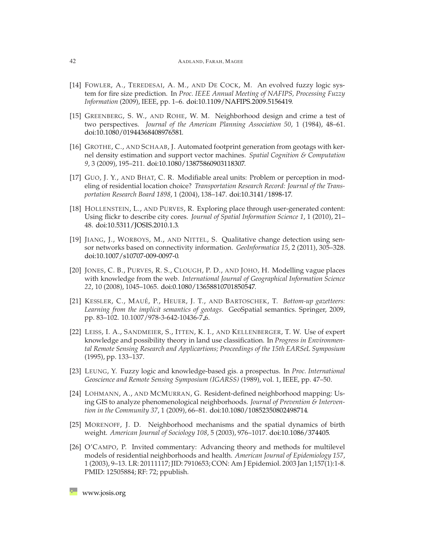#### 42 AADLAND, FARAH, MAGEE

- <span id="page-13-7"></span>[14] FOWLER, A., TEREDESAI, A. M., AND DE COCK, M. An evolved fuzzy logic system for fire size prediction. In *Proc. IEEE Annual Meeting of NAFIPS, Processing Fuzzy Information* (2009), IEEE, pp. 1–6. [doi:10.1109/NAFIPS.2009.5156419.](http://dx.doi.org/10.1109/NAFIPS.2009.5156419)
- <span id="page-13-1"></span>[15] GREENBERG, S. W., AND ROHE, W. M. Neighborhood design and crime a test of two perspectives. *Journal of the American Planning Association 50*, 1 (1984), 48–61. [doi:10.1080/01944368408976581.](http://dx.doi.org/10.1080/01944368408976581)
- <span id="page-13-9"></span>[16] GROTHE, C., AND SCHAAB, J. Automated footprint generation from geotags with kernel density estimation and support vector machines. *Spatial Cognition & Computation 9*, 3 (2009), 195–211. [doi:10.1080/13875860903118307.](http://dx.doi.org/10.1080/13875860903118307)
- <span id="page-13-0"></span>[17] GUO, J. Y., AND BHAT, C. R. Modifiable areal units: Problem or perception in modeling of residential location choice? *Transportation Research Record: Journal of the Transportation Research Board 1898*, 1 (2004), 138–147. [doi:10.3141/1898-17.](http://dx.doi.org/10.3141/1898-17)
- <span id="page-13-10"></span>[18] HOLLENSTEIN, L., AND PURVES, R. Exploring place through user-generated content: Using flickr to describe city cores. *Journal of Spatial Information Science 1*, 1 (2010), 21– 48. [doi:10.5311/JOSIS.2010.1.3.](http://dx.doi.org/10.5311/JOSIS.2010.1.3)
- <span id="page-13-12"></span>[19] JIANG, J., WORBOYS, M., AND NITTEL, S. Qualitative change detection using sensor networks based on connectivity information. *GeoInformatica 15*, 2 (2011), 305–328. [doi:10.1007/s10707-009-0097-0.](http://dx.doi.org/10.1007/s10707-009-0097-0)
- <span id="page-13-11"></span>[20] JONES, C. B., PURVES, R. S., CLOUGH, P. D., AND JOHO, H. Modelling vague places with knowledge from the web. *International Journal of Geographical Information Science 22*, 10 (2008), 1045–1065. [doi:0.1080/13658810701850547.](http://dx.doi.org/0.1080/13658810701850547)
- <span id="page-13-4"></span>[21] KESSLER, C., MAUE´, P., HEUER, J. T., AND BARTOSCHEK, T. *Bottom-up gazetteers: Learning from the implicit semantics of geotags*. GeoSpatial semantics. Springer, 2009, pp. 83–102. 10.1007/978-3-642-10436-7 6.
- <span id="page-13-6"></span>[22] LEISS, I. A., SANDMEIER, S., ITTEN, K. I., AND KELLENBERGER, T. W. Use of expert knowledge and possibility theory in land use classification. In *Progress in Environmental Remote Sensing Research and Applicartions; Proceedings of the 15th EARSeL Symposium* (1995), pp. 133–137.
- <span id="page-13-5"></span>[23] LEUNG, Y. Fuzzy logic and knowledge-based gis. a prospectus. In *Proc. International Geoscience and Remote Sensing Symposium (IGARSS)* (1989), vol. 1, IEEE, pp. 47–50.
- <span id="page-13-8"></span>[24] LOHMANN, A., AND MCMURRAN, G. Resident-defined neighborhood mapping: Using GIS to analyze phenomenological neighborhoods. *Journal of Prevention & Intervention in the Community 37*, 1 (2009), 66–81. [doi:10.1080/10852350802498714.](http://dx.doi.org/10.1080/10852350802498714)
- <span id="page-13-2"></span>[25] MORENOFF, J. D. Neighborhood mechanisms and the spatial dynamics of birth weight. *American Journal of Sociology 108*, 5 (2003), 976–1017. [doi:10.1086/374405.](http://dx.doi.org/10.1086/374405)
- <span id="page-13-3"></span>[26] O'CAMPO, P. Invited commentary: Advancing theory and methods for multilevel models of residential neighborhoods and health. *American Journal of Epidemiology 157*, 1 (2003), 9–13. LR: 20111117; JID: 7910653; CON: Am J Epidemiol. 2003 Jan 1;157(1):1-8. PMID: 12505884; RF: 72; ppublish.